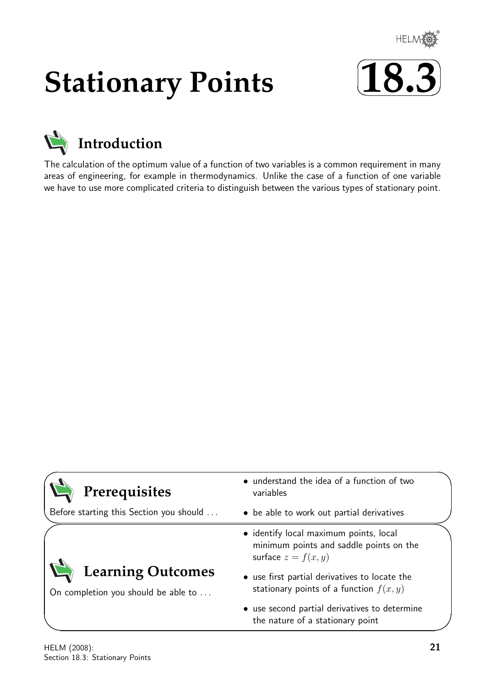

# **Stationary Points**





The calculation of the optimum value of a function of two variables is a common requirement in many areas of engineering, for example in thermodynamics. Unlike the case of a function of one variable we have to use more complicated criteria to distinguish between the various types of stationary point.

| Prerequisites                                                   | • understand the idea of a function of two<br>variables                                                    |
|-----------------------------------------------------------------|------------------------------------------------------------------------------------------------------------|
| Before starting this Section you should                         | • be able to work out partial derivatives                                                                  |
|                                                                 | · identify local maximum points, local<br>minimum points and saddle points on the<br>surface $z = f(x, y)$ |
| <b>Learning Outcomes</b><br>On completion you should be able to | • use first partial derivatives to locate the<br>stationary points of a function $f(x, y)$                 |
|                                                                 | • use second partial derivatives to determine<br>the nature of a stationary point                          |

 $\overline{\phantom{0}}$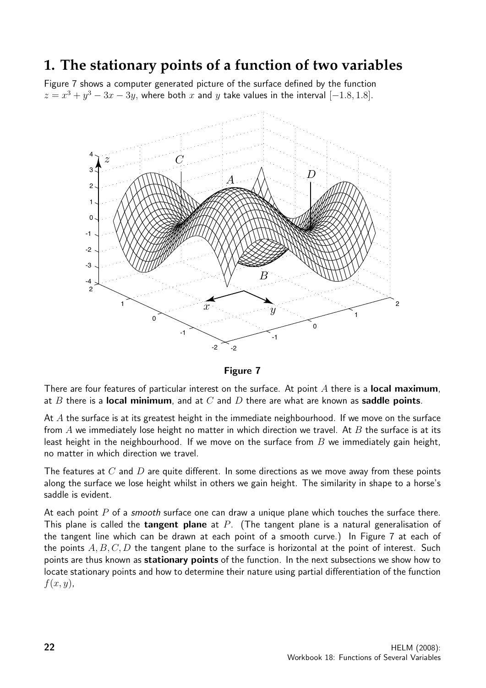## **1. The stationary points of a function of two variables**

Figure 7 shows a computer generated picture of the surface defined by the function  $z = x^3 + y^3 - 3x - 3y$ , where both x and y take values in the interval  $[-1.8, 1.8]$ .



Figure 7

There are four features of particular interest on the surface. At point  $A$  there is a **local maximum**, at B there is a local minimum, and at C and D there are what are known as saddle points.

At  $A$  the surface is at its greatest height in the immediate neighbourhood. If we move on the surface from  $A$  we immediately lose height no matter in which direction we travel. At  $B$  the surface is at its least height in the neighbourhood. If we move on the surface from  $B$  we immediately gain height, no matter in which direction we travel.

The features at  $C$  and  $D$  are quite different. In some directions as we move away from these points along the surface we lose height whilst in others we gain height. The similarity in shape to a horse's saddle is evident.

At each point  $P$  of a *smooth* surface one can draw a unique plane which touches the surface there. This plane is called the **tangent plane** at  $P$ . (The tangent plane is a natural generalisation of the tangent line which can be drawn at each point of a smooth curve.) In Figure 7 at each of the points  $A, B, C, D$  the tangent plane to the surface is horizontal at the point of interest. Such points are thus known as stationary points of the function. In the next subsections we show how to locate stationary points and how to determine their nature using partial differentiation of the function  $f(x, y)$ ,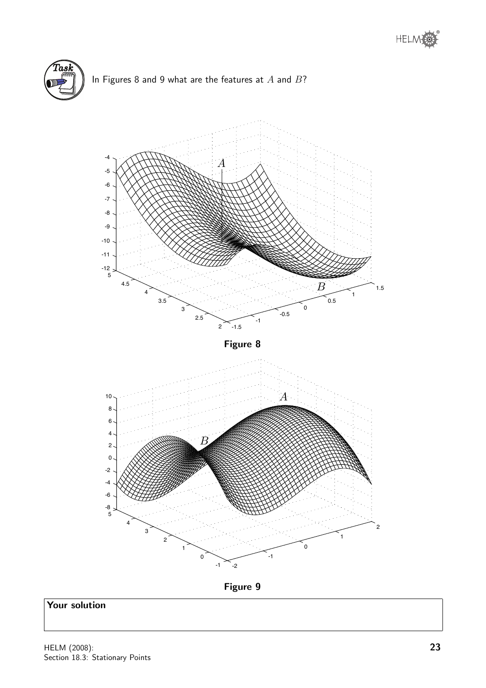







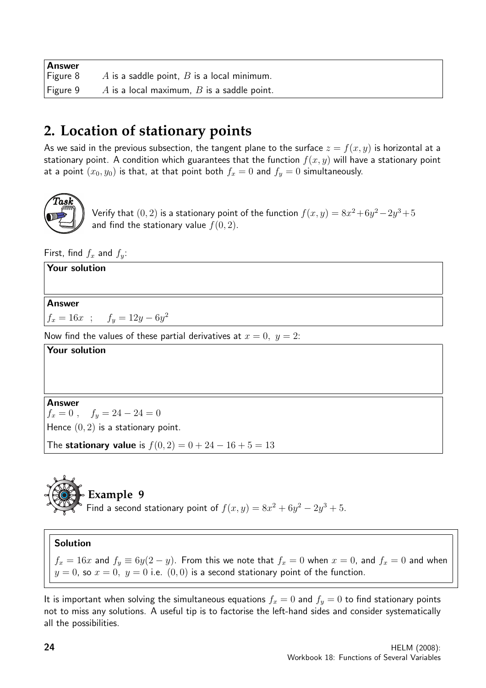| Answer       |                                              |
|--------------|----------------------------------------------|
| Figure 8     | A is a saddle point, $B$ is a local minimum. |
| $ $ Figure 9 | A is a local maximum, $B$ is a saddle point. |

# **2. Location of stationary points**

As we said in the previous subsection, the tangent plane to the surface  $z = f(x, y)$  is horizontal at a stationary point. A condition which guarantees that the function  $f(x, y)$  will have a stationary point at a point  $(x_0, y_0)$  is that, at that point both  $f_x = 0$  and  $f_y = 0$  simultaneously.



Verify that  $(0, 2)$  is a stationary point of the function  $f(x, y) = 8x^2 + 6y^2 - 2y^3 + 5$ and find the stationary value  $f(0, 2)$ .

First, find  $f_x$  and  $f_y$ :

Your solution Answer  $f_x = 16x$ ;  $f_y = 12y - 6y^2$ Now find the values of these partial derivatives at  $x = 0$ ,  $y = 2$ : Your solution Answer  $f_x = 0$ ,  $f_y = 24 - 24 = 0$ Hence  $(0, 2)$  is a stationary point.

The stationary value is  $f(0, 2) = 0 + 24 - 16 + 5 = 13$ 



**Example 9**

Find a second stationary point of  $f(x,y) = 8x^2 + 6y^2 - 2y^3 + 5$ .

### Solution

 $f_x = 16x$  and  $f_y \equiv 6y(2 - y)$ . From this we note that  $f_x = 0$  when  $x = 0$ , and  $f_x = 0$  and when  $y = 0$ , so  $x = 0$ ,  $y = 0$  i.e.  $(0, 0)$  is a second stationary point of the function.

It is important when solving the simultaneous equations  $f_x = 0$  and  $f_y = 0$  to find stationary points not to miss any solutions. A useful tip is to factorise the left-hand sides and consider systematically all the possibilities.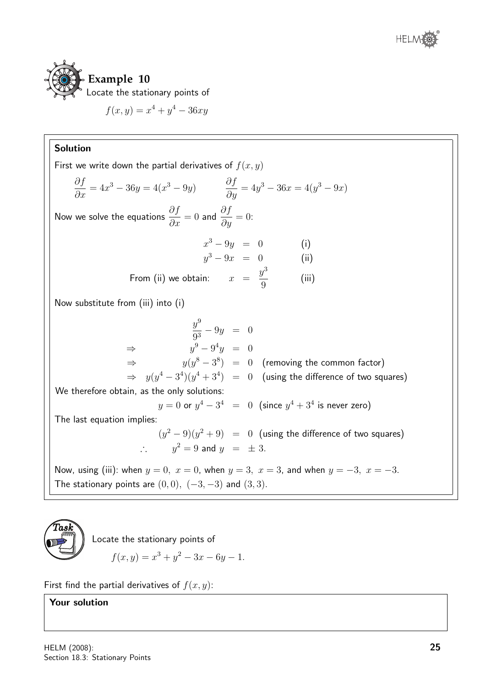



$$
f(x, y) = x^4 + y^4 - 36xy
$$

### Solution

First we write down the partial derivatives of  $f(x, y)$ ∂f  $\frac{\partial f}{\partial x} = 4x^3 - 36y = 4(x^3 - 9y)$   $\frac{\partial f}{\partial y}$  $\frac{\partial y}{\partial y} = 4y^3 - 36x = 4(y^3 - 9x)$ Now we solve the equations  $\frac{\partial f}{\partial x} = 0$  and  $\frac{\partial f}{\partial y} = 0$ :  $x^3 - 9y = 0$  (i)  $y^3 - 9x = 0$  (ii) From (ii) we obtain:  $x =$  $y^3$ 9 (iii) Now substitute from (iii) into (i)  $y^9$  $\frac{9}{9^3} - 9y = 0$  $\Rightarrow$  y  $9-9^4y = 0$  $\Rightarrow$  y(y  $(8-3^8) = 0$  (removing the common factor)  $\Rightarrow$   $y(y^4-3^4)(y^4+3^4)$   $=$   $0$  (using the difference of two squares) We therefore obtain, as the only solutions:  $y=0$  or  $y^4-3^4\ \ =\ \ 0\ \ \left( \textsf{since}\ y^4+3^4\ \textsf{is never zero}\right)$ The last equation implies:  $(y^2-9)(y^2+9) = 0$  (using the difference of two squares)  $\therefore$   $y^2 = 9$  and  $y = \pm 3$ . Now, using (iii): when  $y = 0$ ,  $x = 0$ , when  $y = 3$ ,  $x = 3$ , and when  $y = -3$ ,  $x = -3$ . The stationary points are  $(0, 0)$ ,  $(-3, -3)$  and  $(3, 3)$ .



Locate the stationary points of

$$
f(x, y) = x^3 + y^2 - 3x - 6y - 1.
$$

First find the partial derivatives of  $f(x, y)$ :

### Your solution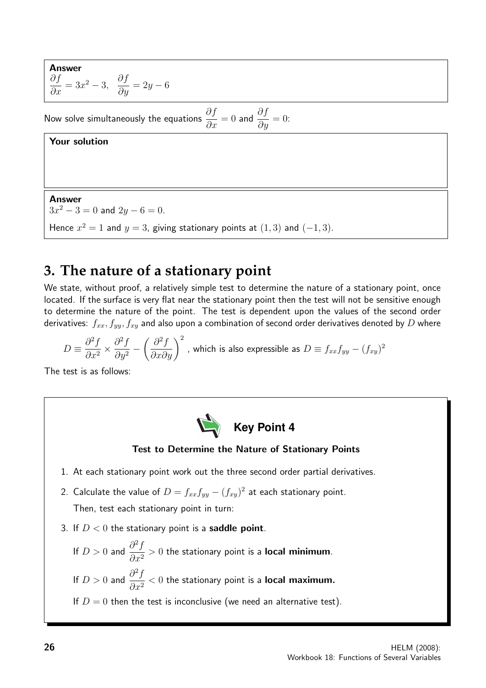Answer  
\n
$$
\frac{\partial f}{\partial x} = 3x^2 - 3
$$
,  $\frac{\partial f}{\partial y} = 2y - 6$ 

Now solve simultaneously the equations  $\displaystyle{\frac{\partial f}{\partial x}=0}$  and  $\displaystyle{\frac{\partial f}{\partial y}=0}$ :

### Your solution

Answer  $3x^2 - 3 = 0$  and  $2y - 6 = 0$ . Hence  $x^2 = 1$  and  $y = 3$ , giving stationary points at  $(1,3)$  and  $(-1,3)$ .

## **3. The nature of a stationary point**

We state, without proof, a relatively simple test to determine the nature of a stationary point, once located. If the surface is very flat near the stationary point then the test will not be sensitive enough to determine the nature of the point. The test is dependent upon the values of the second order derivatives:  $f_{xx}, f_{yy}, f_{xy}$  and also upon a combination of second order derivatives denoted by D where

$$
D \equiv \frac{\partial^2 f}{\partial x^2} \times \frac{\partial^2 f}{\partial y^2} - \left(\frac{\partial^2 f}{\partial x \partial y}\right)^2
$$
, which is also expressible as  $D \equiv f_{xx} f_{yy} - (f_{xy})^2$ 

The test is as follows:



### Test to Determine the Nature of Stationary Points

- 1. At each stationary point work out the three second order partial derivatives.
- 2. Calculate the value of  $D = f_{xx}f_{yy} (f_{xy})^2$  at each stationary point. Then, test each stationary point in turn:
- 3. If  $D < 0$  the stationary point is a **saddle point**.
	- If  $D > 0$  and  $\frac{\partial^2 f}{\partial x^2}$  $\frac{\partial^2 J}{\partial x^2} > 0$  the stationary point is a **local minimum**. If  $D > 0$  and  $\frac{\partial^2 f}{\partial x^2}$  $\frac{\partial^2 J}{\partial x^2} < 0$  the stationary point is a **local maximum.** If  $D = 0$  then the test is inconclusive (we need an alternative test).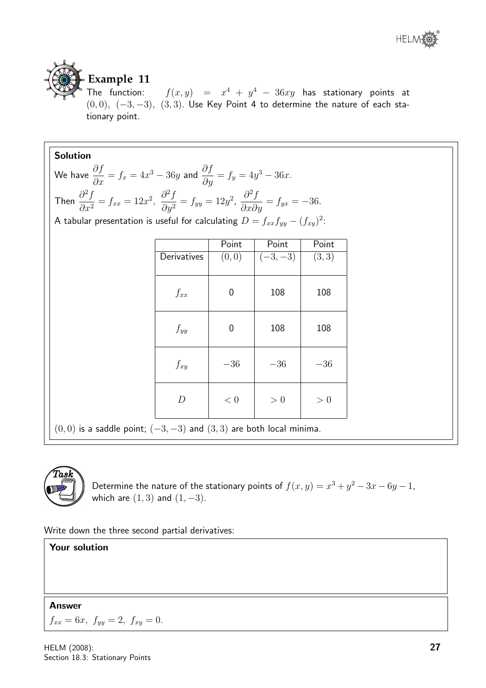

# **Example 11**

The function:  $f(x,y) = x^4 + y^4 - 36xy$  has stationary points at  $(0, 0), (-3, -3), (3, 3)$ . Use Key Point 4 to determine the nature of each stationary point.

| <b>Solution</b>                                                                                                                                                                  |                  |                  |           |       |
|----------------------------------------------------------------------------------------------------------------------------------------------------------------------------------|------------------|------------------|-----------|-------|
| We have $\frac{\partial f}{\partial x} = f_x = 4x^3 - 36y$ and $\frac{\partial f}{\partial y} = f_y = 4y^3 - 36x$ .                                                              |                  |                  |           |       |
| Then $\frac{\partial^2 f}{\partial x^2} = f_{xx} = 12x^2$ , $\frac{\partial^2 f}{\partial y^2} = f_{yy} = 12y^2$ , $\frac{\partial^2 f}{\partial x \partial y} = f_{yx} = -36$ . |                  |                  |           |       |
| A tabular presentation is useful for calculating $D = f_{xx}f_{yy} - (f_{xy})^2$ :                                                                                               |                  |                  |           |       |
|                                                                                                                                                                                  |                  | Point            | Point     | Point |
|                                                                                                                                                                                  | Derivatives      | (0,0)            | $(-3,-3)$ | (3,3) |
|                                                                                                                                                                                  |                  |                  |           |       |
|                                                                                                                                                                                  | $f_{xx}$         | $\boldsymbol{0}$ | 108       | 108   |
|                                                                                                                                                                                  | $f_{yy}$         | $\overline{0}$   | 108       | 108   |
|                                                                                                                                                                                  | $f_{xy}$         | $-36$            | $-36$     | $-36$ |
|                                                                                                                                                                                  | $\boldsymbol{D}$ | < 0              | > 0       | > 0   |
| $(0,0)$ is a saddle point; $(-3,-3)$ and $(3,3)$ are both local minima.                                                                                                          |                  |                  |           |       |



Determine the nature of the stationary points of  $f(x,y) = x^3 + y^2 - 3x - 6y - 1$ , which are  $(1, 3)$  and  $(1, -3)$ .

Write down the three second partial derivatives:

### Your solution

### Answer

 $f_{xx} = 6x$ ,  $f_{yy} = 2$ ,  $f_{xy} = 0$ .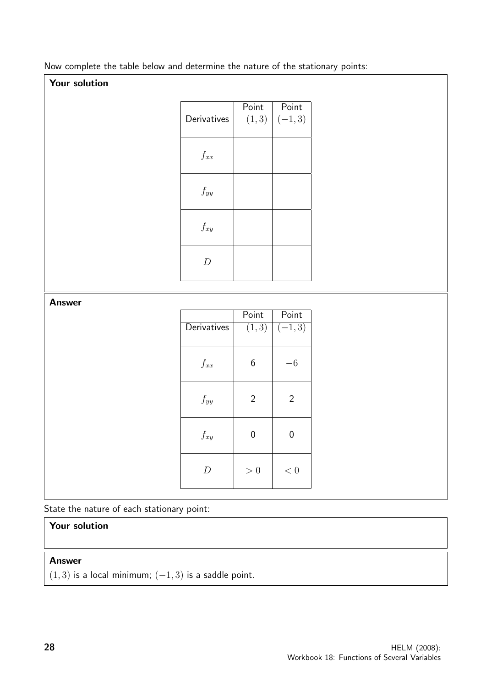Now complete the table below and determine the nature of the stationary points:

### Your solution

|               |                       | Point            | Point               |
|---------------|-----------------------|------------------|---------------------|
|               | Derivatives           | (1, 3)           | $(-1, 3)$           |
|               |                       |                  |                     |
|               |                       |                  |                     |
|               | $\mathcal{f}_{xx}$    |                  |                     |
|               |                       |                  |                     |
|               |                       |                  |                     |
|               | $f_{yy}$              |                  |                     |
|               |                       |                  |                     |
|               |                       |                  |                     |
|               | $\mathcal{f}_{xy}$    |                  |                     |
|               |                       |                  |                     |
|               |                       |                  |                     |
|               | $\boldsymbol{D}$      |                  |                     |
|               |                       |                  |                     |
|               |                       |                  |                     |
| <b>Answer</b> |                       |                  |                     |
|               |                       | Point            | Point               |
|               | Derivatives           | (1, 3)           | $\overline{(-1,3)}$ |
|               |                       |                  |                     |
|               |                       |                  |                     |
|               |                       |                  |                     |
|               |                       |                  |                     |
|               | $\mathnormal{f_{xx}}$ | $6\,$            | $-6\,$              |
|               |                       |                  |                     |
|               |                       |                  |                     |
|               | $f_{yy}$              | $\overline{2}$   | $\overline{2}$      |
|               |                       |                  |                     |
|               |                       |                  |                     |
|               | $\mathcal{f}_{xy}$    | $\boldsymbol{0}$ | $\boldsymbol{0}$    |
|               |                       |                  |                     |
|               |                       |                  |                     |
|               | $\boldsymbol{D}$      | $> 0\,$          | $< 0\,$             |

State the nature of each stationary point:

### Your solution

### Answer

 $(1, 3)$  is a local minimum;  $(-1, 3)$  is a saddle point.